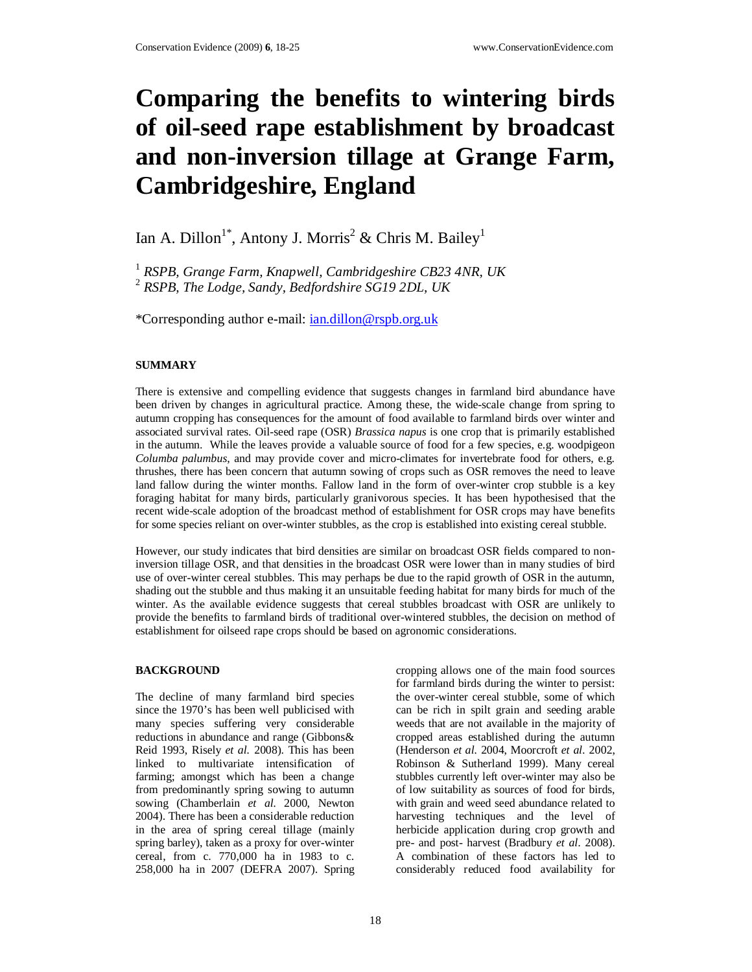# **Comparing the benefits to wintering birds of oil-seed rape establishment by broadcast and non-inversion tillage at Grange Farm, Cambridgeshire, England**

# Ian A. Dillon<sup>1\*</sup>, Antony J. Morris<sup>2</sup> & Chris M. Bailey<sup>1</sup>

<sup>1</sup> *RSPB, Grange Farm, Knapwell, Cambridgeshire CB23 4NR, UK* 2 *RSPB, The Lodge, Sandy, Bedfordshire SG19 2DL, UK*

\*Corresponding author e-mail: ian.dillon@rspb.org.uk

# **SUMMARY**

There is extensive and compelling evidence that suggests changes in farmland bird abundance have been driven by changes in agricultural practice. Among these, the wide-scale change from spring to autumn cropping has consequences for the amount of food available to farmland birds over winter and associated survival rates. Oil-seed rape (OSR) *Brassica napus* is one crop that is primarily established in the autumn. While the leaves provide a valuable source of food for a few species, e.g. woodpigeon *Columba palumbus*, and may provide cover and micro-climates for invertebrate food for others, e.g. thrushes, there has been concern that autumn sowing of crops such as OSR removes the need to leave land fallow during the winter months. Fallow land in the form of over-winter crop stubble is a key foraging habitat for many birds, particularly granivorous species. It has been hypothesised that the recent wide-scale adoption of the broadcast method of establishment for OSR crops may have benefits for some species reliant on over-winter stubbles, as the crop is established into existing cereal stubble.

However, our study indicates that bird densities are similar on broadcast OSR fields compared to noninversion tillage OSR, and that densities in the broadcast OSR were lower than in many studies of bird use of over-winter cereal stubbles. This may perhaps be due to the rapid growth of OSR in the autumn, shading out the stubble and thus making it an unsuitable feeding habitat for many birds for much of the winter. As the available evidence suggests that cereal stubbles broadcast with OSR are unlikely to provide the benefits to farmland birds of traditional over-wintered stubbles, the decision on method of establishment for oilseed rape crops should be based on agronomic considerations.

#### **BACKGROUND**

The decline of many farmland bird species since the 1970's has been well publicised with many species suffering very considerable reductions in abundance and range (Gibbons& Reid 1993, Risely *et al.* 2008). This has been linked to multivariate intensification of farming; amongst which has been a change from predominantly spring sowing to autumn sowing (Chamberlain *et al.* 2000, Newton 2004). There has been a considerable reduction in the area of spring cereal tillage (mainly spring barley), taken as a proxy for over-winter cereal, from c. 770,000 ha in 1983 to c. 258,000 ha in 2007 (DEFRA 2007). Spring cropping allows one of the main food sources for farmland birds during the winter to persist: the over-winter cereal stubble, some of which can be rich in spilt grain and seeding arable weeds that are not available in the majority of cropped areas established during the autumn (Henderson *et al.* 2004, Moorcroft *et al.* 2002, Robinson & Sutherland 1999). Many cereal stubbles currently left over-winter may also be of low suitability as sources of food for birds, with grain and weed seed abundance related to harvesting techniques and the level of herbicide application during crop growth and pre- and post- harvest (Bradbury *et al.* 2008). A combination of these factors has led to considerably reduced food availability for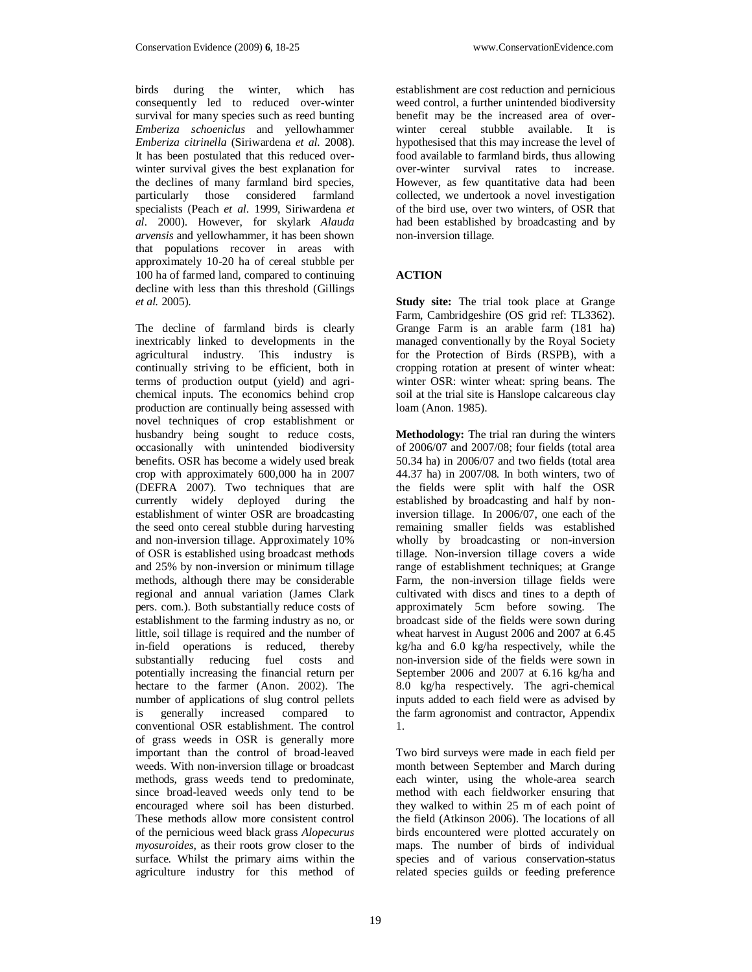birds during the winter, which has consequently led to reduced over-winter survival for many species such as reed bunting *Emberiza schoeniclus* and yellowhammer *Emberiza citrinella* (Siriwardena *et al.* 2008). It has been postulated that this reduced overwinter survival gives the best explanation for the declines of many farmland bird species, particularly those considered farmland specialists (Peach *et al.* 1999, Siriwardena *et al.* 2000). However, for skylark *Alauda arvensis* and yellowhammer, it has been shown that populations recover in areas with approximately 10-20 ha of cereal stubble per 100 ha of farmed land, compared to continuing decline with less than this threshold (Gillings *et al.* 2005).

The decline of farmland birds is clearly inextricably linked to developments in the agricultural industry. This industry is continually striving to be efficient, both in terms of production output (yield) and agrichemical inputs. The economics behind crop production are continually being assessed with novel techniques of crop establishment or husbandry being sought to reduce costs, occasionally with unintended biodiversity benefits. OSR has become a widely used break crop with approximately 600,000 ha in 2007 (DEFRA 2007). Two techniques that are currently widely deployed during the establishment of winter OSR are broadcasting the seed onto cereal stubble during harvesting and non-inversion tillage. Approximately 10% of OSR is established using broadcast methods and 25% by non-inversion or minimum tillage methods, although there may be considerable regional and annual variation (James Clark pers. com.). Both substantially reduce costs of establishment to the farming industry as no, or little, soil tillage is required and the number of in-field operations is reduced, thereby substantially reducing fuel costs and potentially increasing the financial return per hectare to the farmer (Anon. 2002). The number of applications of slug control pellets is generally increased compared to conventional OSR establishment. The control of grass weeds in OSR is generally more important than the control of broad-leaved weeds. With non-inversion tillage or broadcast methods, grass weeds tend to predominate, since broad-leaved weeds only tend to be encouraged where soil has been disturbed. These methods allow more consistent control of the pernicious weed black grass *Alopecurus myosuroides*, as their roots grow closer to the surface. Whilst the primary aims within the agriculture industry for this method of establishment are cost reduction and pernicious weed control, a further unintended biodiversity benefit may be the increased area of overwinter cereal stubble available. It is hypothesised that this may increase the level of food available to farmland birds, thus allowing over-winter survival rates to increase. However, as few quantitative data had been collected, we undertook a novel investigation of the bird use, over two winters, of OSR that had been established by broadcasting and by non-inversion tillage.

# **ACTION**

**Study site:** The trial took place at Grange Farm, Cambridgeshire (OS grid ref: TL3362). Grange Farm is an arable farm (181 ha) managed conventionally by the Royal Society for the Protection of Birds (RSPB), with a cropping rotation at present of winter wheat: winter OSR: winter wheat: spring beans. The soil at the trial site is Hanslope calcareous clay loam (Anon. 1985).

**Methodology:** The trial ran during the winters of 2006/07 and 2007/08; four fields (total area 50.34 ha) in 2006/07 and two fields (total area 44.37 ha) in 2007/08. In both winters, two of the fields were split with half the OSR established by broadcasting and half by noninversion tillage. In 2006/07, one each of the remaining smaller fields was established wholly by broadcasting or non-inversion tillage. Non-inversion tillage covers a wide range of establishment techniques; at Grange Farm, the non-inversion tillage fields were cultivated with discs and tines to a depth of approximately 5cm before sowing. The broadcast side of the fields were sown during wheat harvest in August 2006 and 2007 at 6.45 kg/ha and 6.0 kg/ha respectively, while the non-inversion side of the fields were sown in September 2006 and 2007 at 6.16 kg/ha and 8.0 kg/ha respectively. The agri-chemical inputs added to each field were as advised by the farm agronomist and contractor, Appendix 1.

Two bird surveys were made in each field per month between September and March during each winter, using the whole-area search method with each fieldworker ensuring that they walked to within 25 m of each point of the field (Atkinson 2006). The locations of all birds encountered were plotted accurately on maps. The number of birds of individual species and of various conservation-status related species guilds or feeding preference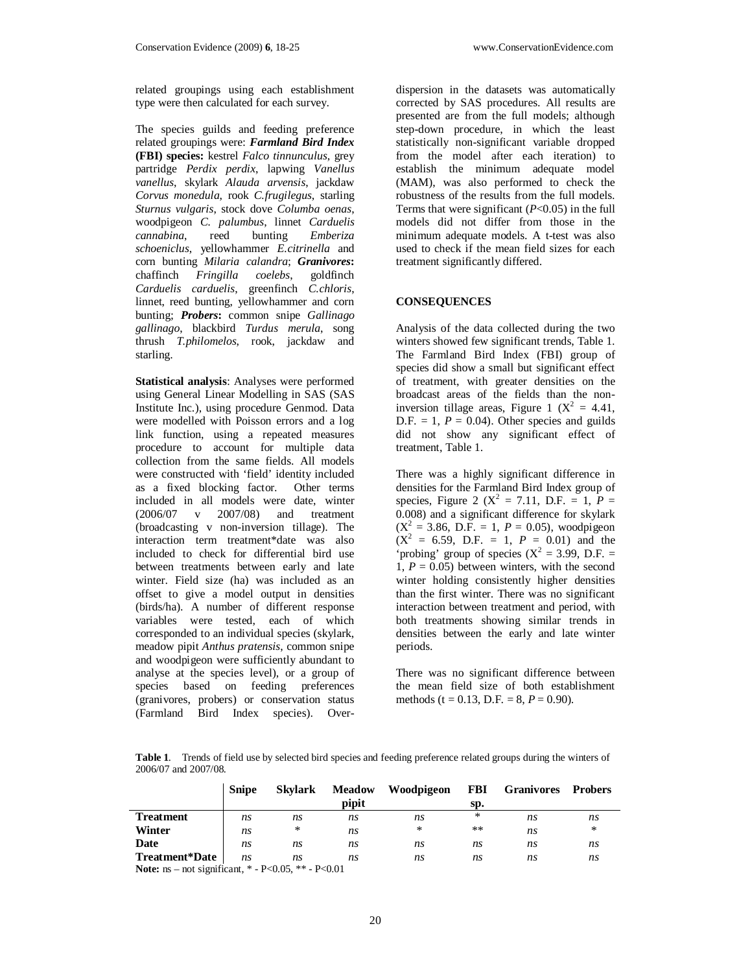related groupings using each establishment type were then calculated for each survey.

The species guilds and feeding preference related groupings were: *Farmland Bird Index* **(FBI) species:** kestrel *Falco tinnunculus*, grey partridge *Perdix perdix*, lapwing *Vanellus vanellus*, skylark *Alauda arvensis*, jackdaw *Corvus monedula*, rook *C.frugilegus*, starling *Sturnus vulgaris*, stock dove *Columba oenas*, woodpigeon *C. palumbus*, linnet *Carduelis cannabina*. *schoeniclus*, yellowhammer *E.citrinella* and corn bunting *Milaria calandra*; *Granivores***:** chaffinch *Fringilla coelebs*, goldfinch *Carduelis carduelis*, greenfinch *C.chloris*, linnet, reed bunting, yellowhammer and corn bunting; *Probers***:** common snipe *Gallinago gallinago*, blackbird *Turdus merula*, song thrush *T.philomelos*, rook, jackdaw and starling.

**Statistical analysis**: Analyses were performed using General Linear Modelling in SAS (SAS Institute Inc.), using procedure Genmod. Data were modelled with Poisson errors and a log link function, using a repeated measures procedure to account for multiple data collection from the same fields. All models were constructed with 'field' identity included as a fixed blocking factor. Other terms included in all models were date, winter (2006/07 v 2007/08) and treatment (broadcasting v non-inversion tillage). The interaction term treatment\*date was also included to check for differential bird use between treatments between early and late winter. Field size (ha) was included as an offset to give a model output in densities (birds/ha). A number of different response variables were tested, each of which corresponded to an individual species (skylark, meadow pipit *Anthus pratensis*, common snipe and woodpigeon were sufficiently abundant to analyse at the species level), or a group of species based on feeding preferences (granivores, probers) or conservation status (Farmland Bird Index species). Overdispersion in the datasets was automatically corrected by SAS procedures. All results are presented are from the full models; although step-down procedure, in which the least statistically non-significant variable dropped from the model after each iteration) to establish the minimum adequate model (MAM), was also performed to check the robustness of the results from the full models. Terms that were significant (*P*<0.05) in the full models did not differ from those in the minimum adequate models. A t-test was also used to check if the mean field sizes for each treatment significantly differed.

# **CONSEQUENCES**

Analysis of the data collected during the two winters showed few significant trends, Table 1. The Farmland Bird Index (FBI) group of species did show a small but significant effect of treatment, with greater densities on the broadcast areas of the fields than the noninversion tillage areas, Figure 1 ( $X^2 = 4.41$ ,  $D.F. = 1$ ,  $P = 0.04$ ). Other species and guilds did not show any significant effect of treatment, Table 1.

There was a highly significant difference in densities for the Farmland Bird Index group of species, Figure 2 ( $X^2 = 7.11$ , D.F. = 1,  $P =$ 0.008) and a significant difference for skylark  $(X^2 = 3.86, D.F. = 1, P = 0.05)$ , woodpigeon  $(X^2 = 6.59, D.F. = 1, P = 0.01)$  and the 'probing' group of species  $(X^2 = 3.99, D.F. =$ 1,  $P = 0.05$ ) between winters, with the second winter holding consistently higher densities than the first winter. There was no significant interaction between treatment and period, with both treatments showing similar trends in densities between the early and late winter periods.

There was no significant difference between the mean field size of both establishment methods (t =  $0.13$ , D.F. =  $8, P = 0.90$ ).

**Table 1**. Trends of field use by selected bird species and feeding preference related groups during the winters of 2006/07 and 2007/08.

|                                                                | <b>Snipe</b> | <b>Skylark</b> | <b>Meadow</b><br>pipit | Woodpigeon | FBI<br>Sp. | <b>Granivores</b> | <b>Probers</b> |
|----------------------------------------------------------------|--------------|----------------|------------------------|------------|------------|-------------------|----------------|
| <b>Treatment</b>                                               | ns           | ns             | ns                     | ns         | ∗          | ns                | ns             |
| Winter                                                         | ns           | ×.             | ns                     | $\ast$     | $* *$      | ns                | ×.             |
| Date                                                           | ns           | n.s            | ns                     | ns         | ns         | ns                | ns             |
| Treatment*Date                                                 | ns           | ns             | ns                     | ns         | ns         | ns                | ns             |
| <b>Note:</b> ns – not significant, $*$ - P<0.05, $**$ - P<0.01 |              |                |                        |            |            |                   |                |

20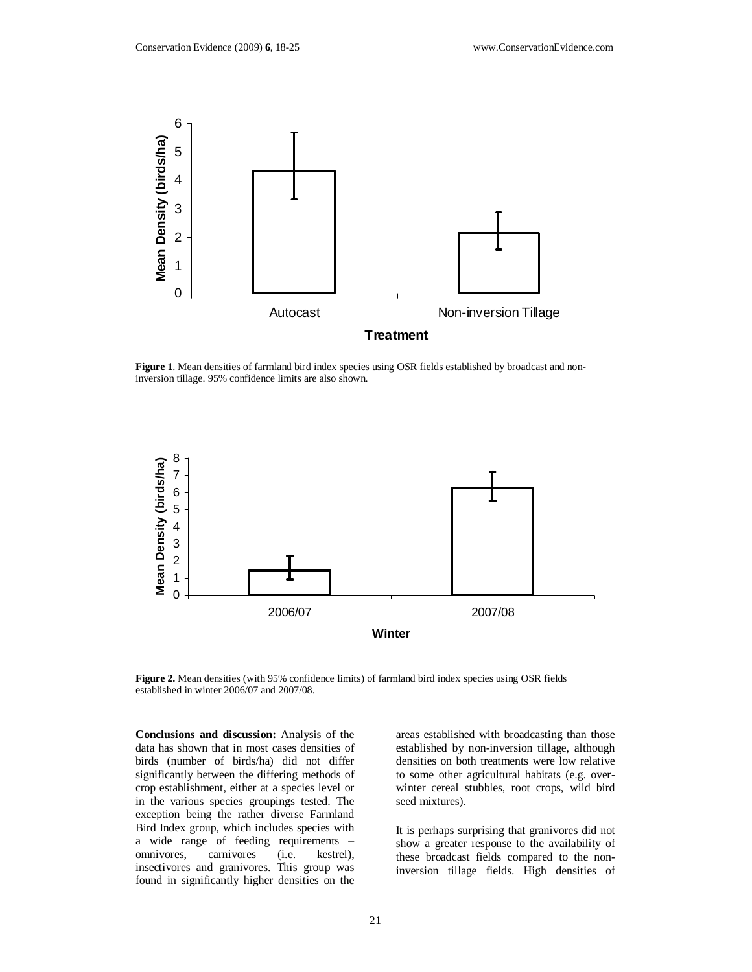

**Figure 1**. Mean densities of farmland bird index species using OSR fields established by broadcast and noninversion tillage. 95% confidence limits are also shown.



**Figure 2.** Mean densities (with 95% confidence limits) of farmland bird index species using OSR fields established in winter 2006/07 and 2007/08.

**Conclusions and discussion:** Analysis of the data has shown that in most cases densities of birds (number of birds/ha) did not differ significantly between the differing methods of crop establishment, either at a species level or in the various species groupings tested. The exception being the rather diverse Farmland Bird Index group, which includes species with a wide range of feeding requirements – omnivores, carnivores (i.e. kestrel), insectivores and granivores. This group was found in significantly higher densities on the

areas established with broadcasting than those established by non-inversion tillage, although densities on both treatments were low relative to some other agricultural habitats (e.g. overwinter cereal stubbles, root crops, wild bird seed mixtures).

It is perhaps surprising that granivores did not show a greater response to the availability of these broadcast fields compared to the noninversion tillage fields. High densities of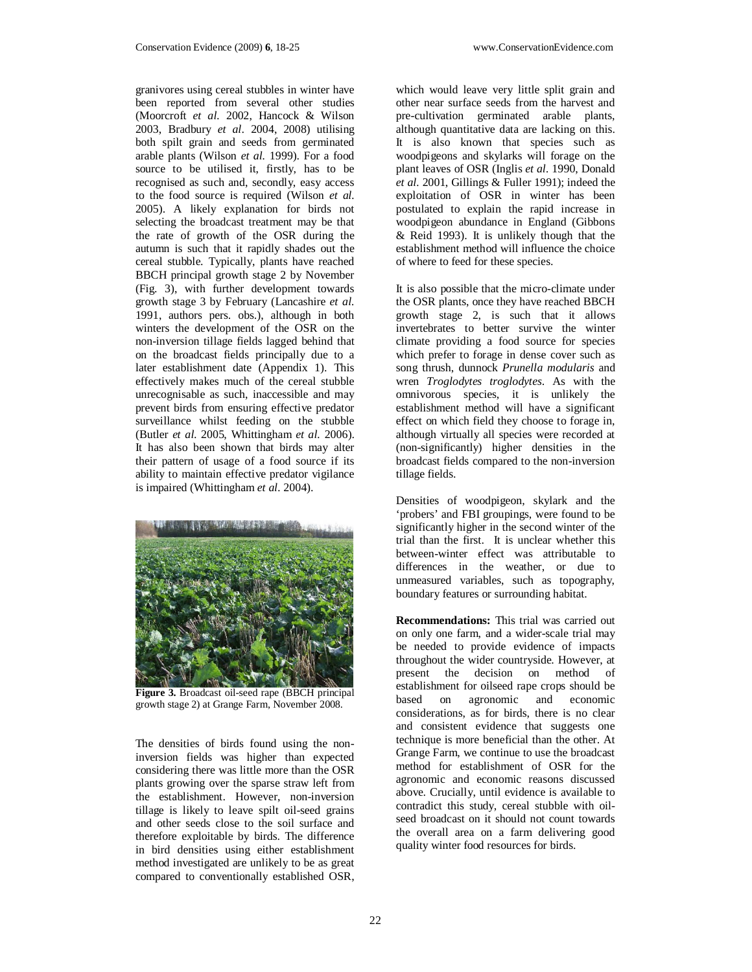granivores using cereal stubbles in winter have been reported from several other studies (Moorcroft *et al.* 2002, Hancock & Wilson 2003, Bradbury *et al*. 2004, 2008) utilising both spilt grain and seeds from germinated arable plants (Wilson *et al.* 1999). For a food source to be utilised it, firstly, has to be recognised as such and, secondly, easy access to the food source is required (Wilson *et al.* 2005). A likely explanation for birds not selecting the broadcast treatment may be that the rate of growth of the OSR during the autumn is such that it rapidly shades out the cereal stubble. Typically, plants have reached BBCH principal growth stage 2 by November (Fig. 3), with further development towards growth stage 3 by February (Lancashire *et al.* 1991, authors pers. obs.), although in both winters the development of the OSR on the non-inversion tillage fields lagged behind that on the broadcast fields principally due to a later establishment date (Appendix 1). This effectively makes much of the cereal stubble unrecognisable as such, inaccessible and may prevent birds from ensuring effective predator surveillance whilst feeding on the stubble (Butler *et al*. 2005, Whittingham *et al.* 2006). It has also been shown that birds may alter their pattern of usage of a food source if its ability to maintain effective predator vigilance is impaired (Whittingham *et al.* 2004).



**Figure 3.** Broadcast oil-seed rape (BBCH principal growth stage 2) at Grange Farm, November 2008.

The densities of birds found using the noninversion fields was higher than expected considering there was little more than the OSR plants growing over the sparse straw left from the establishment. However, non-inversion tillage is likely to leave spilt oil-seed grains and other seeds close to the soil surface and therefore exploitable by birds. The difference in bird densities using either establishment method investigated are unlikely to be as great compared to conventionally established OSR,

which would leave very little split grain and other near surface seeds from the harvest and pre-cultivation germinated arable plants, although quantitative data are lacking on this. It is also known that species such as woodpigeons and skylarks will forage on the plant leaves of OSR (Inglis *et al.* 1990, Donald *et al.* 2001, Gillings & Fuller 1991); indeed the exploitation of OSR in winter has been postulated to explain the rapid increase in woodpigeon abundance in England (Gibbons & Reid 1993). It is unlikely though that the establishment method will influence the choice of where to feed for these species.

It is also possible that the micro-climate under the OSR plants, once they have reached BBCH growth stage 2, is such that it allows invertebrates to better survive the winter climate providing a food source for species which prefer to forage in dense cover such as song thrush, dunnock *Prunella modularis* and wren *Troglodytes troglodytes*. As with the omnivorous species, it is unlikely the establishment method will have a significant effect on which field they choose to forage in, although virtually all species were recorded at (non-significantly) higher densities in the broadcast fields compared to the non-inversion tillage fields.

Densities of woodpigeon, skylark and the 'probers' and FBI groupings, were found to be significantly higher in the second winter of the trial than the first. It is unclear whether this between-winter effect was attributable to differences in the weather, or due to unmeasured variables, such as topography, boundary features or surrounding habitat.

**Recommendations:** This trial was carried out on only one farm, and a wider-scale trial may be needed to provide evidence of impacts throughout the wider countryside. However, at present the decision on method of establishment for oilseed rape crops should be based on agronomic and economic considerations, as for birds, there is no clear and consistent evidence that suggests one technique is more beneficial than the other. At Grange Farm, we continue to use the broadcast method for establishment of OSR for the agronomic and economic reasons discussed above. Crucially, until evidence is available to contradict this study, cereal stubble with oilseed broadcast on it should not count towards the overall area on a farm delivering good quality winter food resources for birds.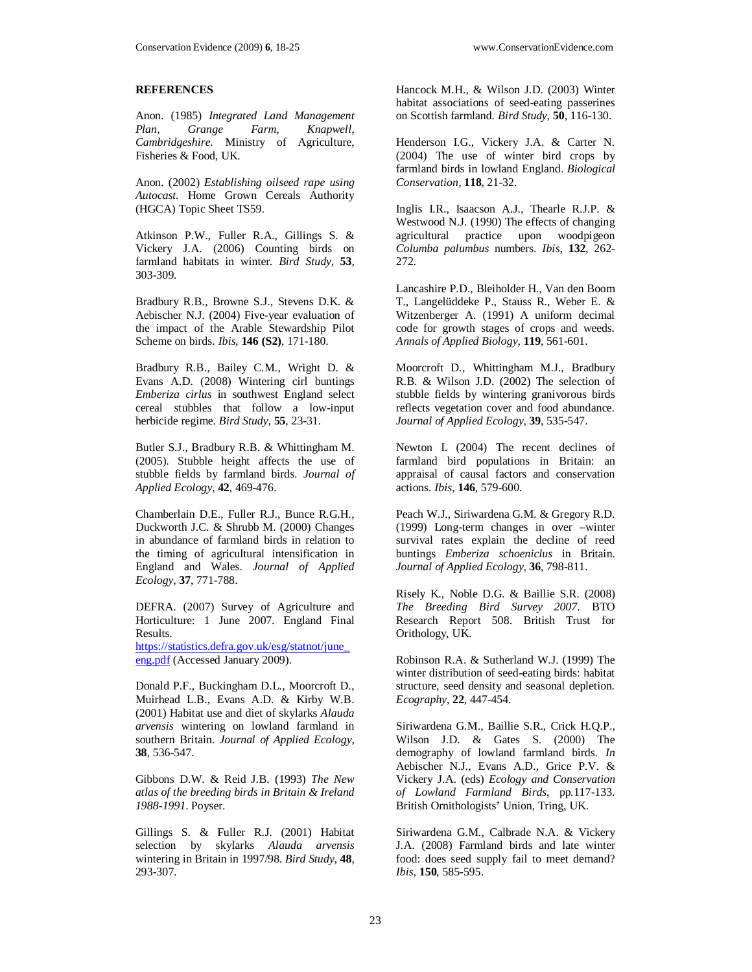# **REFERENCES**

Anon. (1985) *Integrated Land Management Plan, Grange Farm, Knapwell, Cambridgeshire.* Ministry of Agriculture, Fisheries & Food, UK.

Anon. (2002) *Establishing oilseed rape using Autocast.* Home Grown Cereals Authority (HGCA) Topic Sheet TS59.

Atkinson P.W., Fuller R.A., Gillings S. & Vickery J.A. (2006) Counting birds on farmland habitats in winter. *Bird Study*, **53**, 303-309.

Bradbury R.B., Browne S.J., Stevens D.K. & Aebischer N.J. (2004) Five-year evaluation of the impact of the Arable Stewardship Pilot Scheme on birds. *Ibis*, **146 (S2)**, 171-180.

Bradbury R.B., Bailey C.M., Wright D. & Evans A.D. (2008) Wintering cirl buntings *Emberiza cirlus* in southwest England select cereal stubbles that follow a low-input herbicide regime. *Bird Study*, **55**, 23-31.

Butler S.J., Bradbury R.B. & Whittingham M. (2005). Stubble height affects the use of stubble fields by farmland birds. *Journal of Applied Ecology*, **42**, 469-476.

Chamberlain D.E., Fuller R.J., Bunce R.G.H., Duckworth J.C. & Shrubb M. (2000) Changes in abundance of farmland birds in relation to the timing of agricultural intensification in England and Wales. *Journal of Applied Ecology*, **37**, 771-788.

DEFRA. (2007) Survey of Agriculture and Horticulture: 1 June 2007. England Final Results. https://statistics.defra.gov.uk/esg/statnot/june\_

eng.pdf (Accessed January 2009).

Donald P.F., Buckingham D.L., Moorcroft D., Muirhead L.B., Evans A.D. & Kirby W.B. (2001) Habitat use and diet of skylarks *Alauda arvensis* wintering on lowland farmland in southern Britain. *Journal of Applied Ecology*, **38**, 536-547.

Gibbons D.W. & Reid J.B. (1993) *The New atlas of the breeding birds in Britain & Ireland 1988-1991*. Poyser.

Gillings S. & Fuller R.J. (2001) Habitat selection by skylarks *Alauda arvensis*  wintering in Britain in 1997/98. *Bird Study*, **48**, 293-307.

Hancock M.H., & Wilson J.D. (2003) Winter habitat associations of seed-eating passerines on Scottish farmland. *Bird Study*, **50**, 116-130.

Henderson I.G., Vickery J.A. & Carter N. (2004) The use of winter bird crops by farmland birds in lowland England. *Biological Conservation*, **118**, 21-32.

Inglis I.R., Isaacson A.J., Thearle R.J.P. & Westwood N.J. (1990) The effects of changing agricultural practice upon woodpigeon *Columba palumbus* numbers. *Ibis*, **132**, 262- 272.

Lancashire P.D., Bleiholder H., Van den Boom T., Langelüddeke P., Stauss R., Weber E. & Witzenberger A. (1991) A uniform decimal code for growth stages of crops and weeds. *Annals of Applied Biology*, **119**, 561-601.

Moorcroft D., Whittingham M.J., Bradbury R.B. & Wilson J.D. (2002) The selection of stubble fields by wintering granivorous birds reflects vegetation cover and food abundance. *Journal of Applied Ecology*, **39**, 535-547.

Newton I. (2004) The recent declines of farmland bird populations in Britain: an appraisal of causal factors and conservation actions. *Ibis*, **146**, 579-600.

Peach W.J., Siriwardena G.M. & Gregory R.D. (1999) Long-term changes in over –winter survival rates explain the decline of reed buntings *Emberiza schoeniclus* in Britain. *Journal of Applied Ecology*, **36**, 798-811.

Risely K., Noble D.G. & Baillie S.R. (2008) *The Breeding Bird Survey 2007*. BTO Research Report 508. British Trust for Orithology, UK.

Robinson R.A. & Sutherland W.J. (1999) The winter distribution of seed-eating birds: habitat structure, seed density and seasonal depletion. *Ecography*, **22**, 447-454.

Siriwardena G.M., Baillie S.R., Crick H.Q.P., Wilson J.D. & Gates S. (2000) The demography of lowland farmland birds. *In* Aebischer N.J., Evans A.D., Grice P.V. & Vickery J.A. (eds) *Ecology and Conservation of Lowland Farmland Birds*, pp.117-133. British Ornithologists' Union, Tring, UK.

Siriwardena G.M., Calbrade N.A. & Vickery J.A. (2008) Farmland birds and late winter food: does seed supply fail to meet demand? *Ibis*, **150**, 585-595.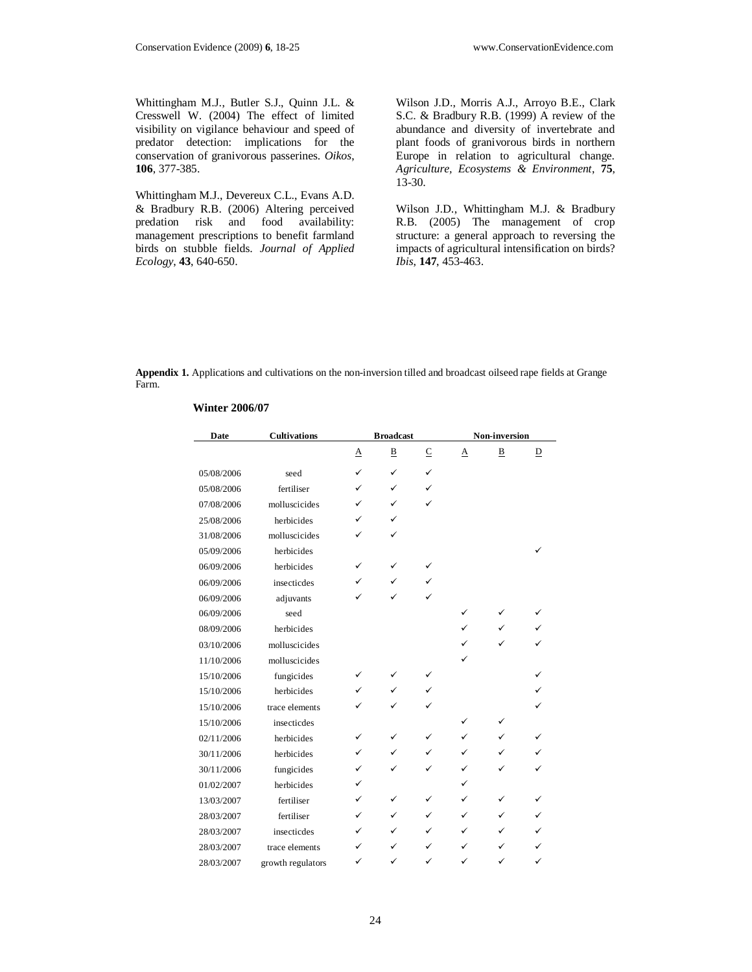Whittingham M.J., Butler S.J., Quinn J.L. & Cresswell W. (2004) The effect of limited visibility on vigilance behaviour and speed of predator detection: implications for the conservation of granivorous passerines. *Oikos*, **106**, 377-385.

Whittingham M.J., Devereux C.L., Evans A.D. & Bradbury R.B. (2006) Altering perceived predation risk and food availability: management prescriptions to benefit farmland birds on stubble fields. *Journal of Applied Ecology*, **43**, 640-650.

Wilson J.D., Morris A.J., Arroyo B.E., Clark S.C. & Bradbury R.B. (1999) A review of the abundance and diversity of invertebrate and plant foods of granivorous birds in northern Europe in relation to agricultural change. *Agriculture, Ecosystems & Environment*, **75**,  $13 - 30.$ 

Wilson J.D., Whittingham M.J. & Bradbury R.B. (2005) The management of crop structure: a general approach to reversing the impacts of agricultural intensification on birds? *Ibis*, **147**, 453-463.

**Appendix 1.** Applications and cultivations on the non-inversion tilled and broadcast oilseed rape fields at Grange Farm.

| <b>Date</b> | <b>Cultivations</b> | <b>Broadcast</b> |   |              | Non-inversion |                         |              |
|-------------|---------------------|------------------|---|--------------|---------------|-------------------------|--------------|
|             |                     | Α                | В | $\subseteq$  | $\Delta$      | $\overline{\mathbf{B}}$ | D            |
| 05/08/2006  | seed                | $\checkmark$     | ✓ | $\checkmark$ |               |                         |              |
| 05/08/2006  | fertiliser          | ✓                | ✓ | ✓            |               |                         |              |
| 07/08/2006  | molluscicides       | ✓                | ✓ | $\checkmark$ |               |                         |              |
| 25/08/2006  | herbicides          | ✓                | ✓ |              |               |                         |              |
| 31/08/2006  | molluscicides       |                  | ✓ |              |               |                         |              |
| 05/09/2006  | herbicides          |                  |   |              |               |                         |              |
| 06/09/2006  | herbicides          | ✓                | ✓ | ✓            |               |                         |              |
| 06/09/2006  | insecticdes         | ✓                | ✓ | ✓            |               |                         |              |
| 06/09/2006  | adjuvants           | ✓                | ✓ | ✓            |               |                         |              |
| 06/09/2006  | seed                |                  |   |              | ✓             | ✓                       |              |
| 08/09/2006  | herbicides          |                  |   |              | ✓             | ✓                       |              |
| 03/10/2006  | molluscicides       |                  |   |              | ✓             | ✓                       | ✓            |
| 11/10/2006  | molluscicides       |                  |   |              | ✓             |                         |              |
| 15/10/2006  | fungicides          | ✓                | ✓ | ✓            |               |                         |              |
| 15/10/2006  | herbicides          | ✓                | ✓ | $\checkmark$ |               |                         |              |
| 15/10/2006  | trace elements      | ✓                | ✓ | ✓            |               |                         |              |
| 15/10/2006  | insecticdes         |                  |   |              | ✓             | ✓                       |              |
| 02/11/2006  | herbicides          | ✓                | ✓ | ✓            | ✓             | ✓                       | ✓            |
| 30/11/2006  | herbicides          | ✓                | ✓ | ✓            | ✓             | ✓                       |              |
| 30/11/2006  | fungicides          | ✓                | ✓ | ✓            | ✓             | ✓                       |              |
| 01/02/2007  | herbicides          | ✓                |   |              | ✓             |                         |              |
| 13/03/2007  | fertiliser          | ✓                | ✓ | ✓            | ✓             | ✓                       |              |
| 28/03/2007  | fertiliser          | ✓                | ✓ | ✓            | ✓             | ✓                       | ✓            |
| 28/03/2007  | insecticdes         | ✓                | ✓ | ✓            | ✓             | ✓                       | ✓            |
| 28/03/2007  | trace elements      | ✓                | ✓ | ✓            | ✓             | ✓                       | ✓            |
| 28/03/2007  | growth regulators   | ✓                | ✓ | ✓            | ✓             | ✓                       | $\checkmark$ |

#### **Winter 2006/07**